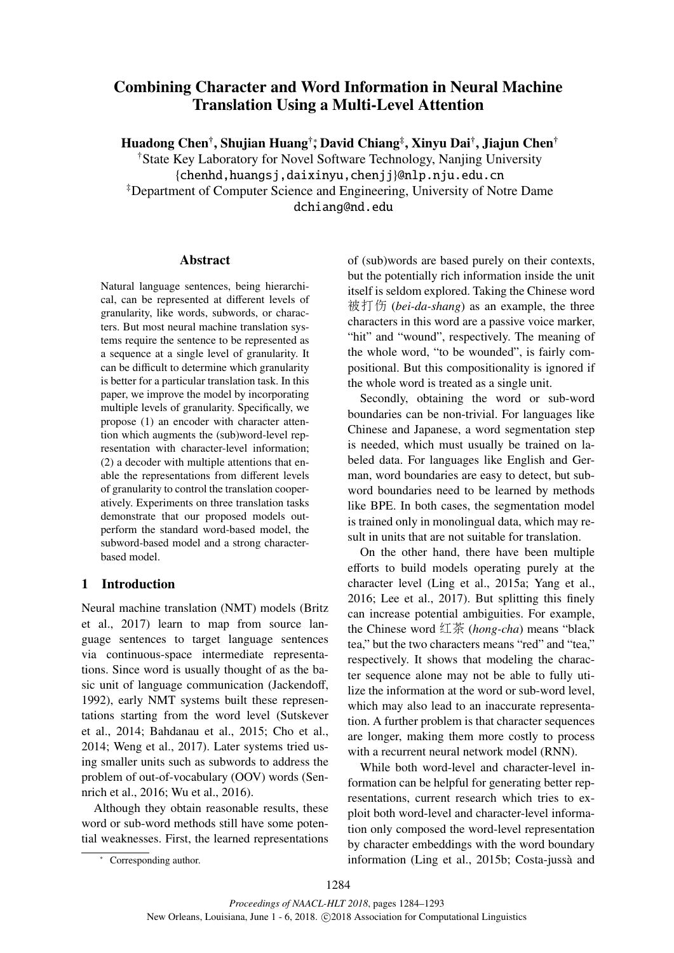# Combining Character and Word Information in Neural Machine Translation Using a Multi-Level Attention

Huadong Chen†, Shujian Huang†\*, David Chiang‡, Xinyu Dai†, Jiajun Chen†

†State Key Laboratory for Novel Software Technology, Nanjing University {chenhd,huangsj,daixinyu,chenjj}@nlp.nju.edu.cn ‡Department of Computer Science and Engineering, University of Notre Dame dchiang@nd.edu

### Abstract

Natural language sentences, being hierarchical, can be represented at different levels of granularity, like words, subwords, or characters. But most neural machine translation systems require the sentence to be represented as a sequence at a single level of granularity. It can be difficult to determine which granularity is better for a particular translation task. In this paper, we improve the model by incorporating multiple levels of granularity. Specifically, we propose (1) an encoder with character attention which augments the (sub)word-level representation with character-level information; (2) a decoder with multiple attentions that enable the representations from different levels of granularity to control the translation cooperatively. Experiments on three translation tasks demonstrate that our proposed models outperform the standard word-based model, the subword-based model and a strong characterbased model.

# 1 Introduction

Neural machine translation (NMT) models (Britz et al., 2017) learn to map from source language sentences to target language sentences via continuous-space intermediate representations. Since word is usually thought of as the basic unit of language communication (Jackendoff, 1992), early NMT systems built these representations starting from the word level (Sutskever et al., 2014; Bahdanau et al., 2015; Cho et al., 2014; Weng et al., 2017). Later systems tried using smaller units such as subwords to address the problem of out-of-vocabulary (OOV) words (Sennrich et al., 2016; Wu et al., 2016).

Although they obtain reasonable results, these word or sub-word methods still have some potential weaknesses. First, the learned representations of (sub)words are based purely on their contexts, but the potentially rich information inside the unit itself is seldom explored. Taking the Chinese word 被打伤 (*bei-da-shang*) as an example, the three characters in this word are a passive voice marker, "hit" and "wound", respectively. The meaning of the whole word, "to be wounded", is fairly compositional. But this compositionality is ignored if the whole word is treated as a single unit.

Secondly, obtaining the word or sub-word boundaries can be non-trivial. For languages like Chinese and Japanese, a word segmentation step is needed, which must usually be trained on labeled data. For languages like English and German, word boundaries are easy to detect, but subword boundaries need to be learned by methods like BPE. In both cases, the segmentation model is trained only in monolingual data, which may result in units that are not suitable for translation.

On the other hand, there have been multiple efforts to build models operating purely at the character level (Ling et al., 2015a; Yang et al., 2016; Lee et al., 2017). But splitting this finely can increase potential ambiguities. For example, the Chinese word 红茶 (*hong-cha*) means "black tea," but the two characters means "red" and "tea," respectively. It shows that modeling the character sequence alone may not be able to fully utilize the information at the word or sub-word level, which may also lead to an inaccurate representation. A further problem is that character sequences are longer, making them more costly to process with a recurrent neural network model (RNN).

While both word-level and character-level information can be helpful for generating better representations, current research which tries to exploit both word-level and character-level information only composed the word-level representation by character embeddings with the word boundary information (Ling et al., 2015b; Costa-jussà and

<sup>∗</sup> Corresponding author.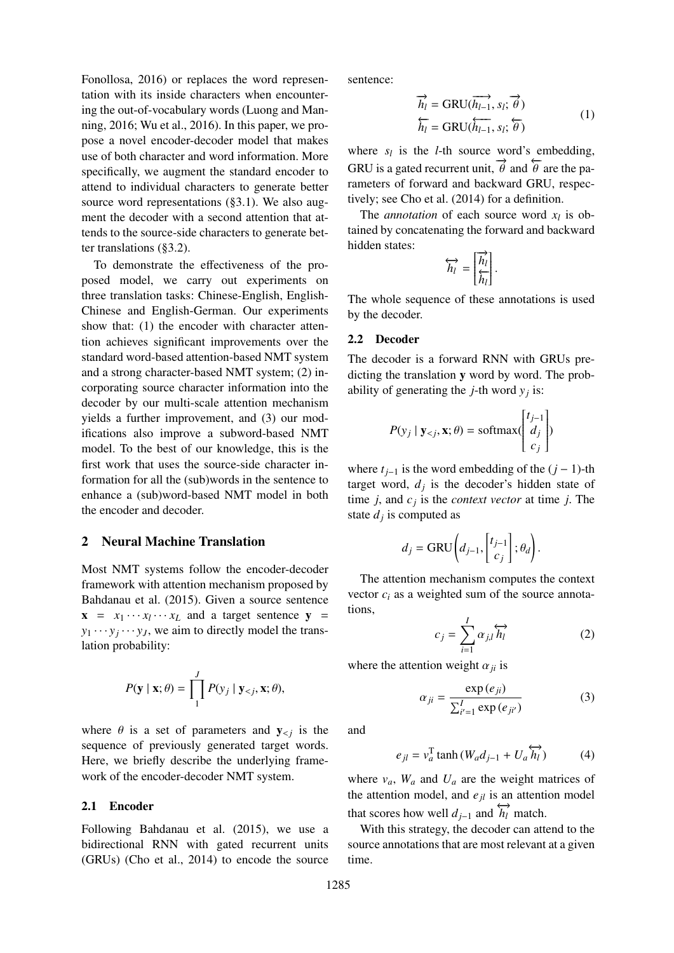Fonollosa, 2016) or replaces the word representation with its inside characters when encountering the out-of-vocabulary words (Luong and Manning, 2016; Wu et al., 2016). In this paper, we propose a novel encoder-decoder model that makes use of both character and word information. More specifically, we augment the standard encoder to attend to individual characters to generate better source word representations (§3.1). We also augment the decoder with a second attention that attends to the source-side characters to generate better translations (§3.2).

To demonstrate the effectiveness of the proposed model, we carry out experiments on three translation tasks: Chinese-English, English-Chinese and English-German. Our experiments show that: (1) the encoder with character attention achieves significant improvements over the standard word-based attention-based NMT system and a strong character-based NMT system; (2) incorporating source character information into the decoder by our multi-scale attention mechanism yields a further improvement, and (3) our modifications also improve a subword-based NMT model. To the best of our knowledge, this is the first work that uses the source-side character information for all the (sub)words in the sentence to enhance a (sub)word-based NMT model in both the encoder and decoder.

### 2 Neural Machine Translation

Most NMT systems follow the encoder-decoder framework with attention mechanism proposed by Bahdanau et al. (2015). Given a source sentence  $\mathbf{x} = x_1 \cdots x_l \cdots x_L$  and a target sentence  $\mathbf{y} =$  $y_1 \cdots y_j \cdots y_J$ , we aim to directly model the translation probability:

$$
P(\mathbf{y} \mid \mathbf{x}; \theta) = \prod_{1}^{J} P(y_j \mid \mathbf{y}_{< j}, \mathbf{x}; \theta),
$$

where  $\theta$  is a set of parameters and  $y_{\leq j}$  is the sequence of previously generated target words. Here, we briefly describe the underlying framework of the encoder-decoder NMT system.

#### 2.1 Encoder

Following Bahdanau et al. (2015), we use a bidirectional RNN with gated recurrent units (GRUs) (Cho et al., 2014) to encode the source

sentence:

$$
\overrightarrow{h_l} = \text{GRU}(\overrightarrow{h_{l-1}}, s_l; \overrightarrow{\theta})
$$
  

$$
\overleftarrow{h_l} = \text{GRU}(\overleftarrow{h_{l-1}}, s_l; \overleftarrow{\theta})
$$
 (1)

where  $s_l$  is the *l*-th source word's embedding, GRU is a gated recurrent unit,  $\overrightarrow{\theta}$  and  $\overleftarrow{\theta}$  are the parameters of forward and backward GRU, respectively; see Cho et al. (2014) for a definition.

The *annotation* of each source word  $x_l$  is obtained by concatenating the forward and backward hidden states:

$$
\overleftrightarrow{h_l} = \begin{bmatrix} \overrightarrow{h_l} \\ \overleftarrow{h_l} \end{bmatrix}.
$$

The whole sequence of these annotations is used by the decoder.

#### 2.2 Decoder

The decoder is a forward RNN with GRUs predicting the translation y word by word. The probability of generating the *j*-th word  $y_j$  is:

$$
P(y_j | \mathbf{y}_{< j}, \mathbf{x}; \theta) = \text{softmax}\begin{pmatrix} t_{j-1} \\ d_j \\ c_j \end{pmatrix}
$$

where  $t_{i-1}$  is the word embedding of the  $(j-1)$ -th target word,  $d_j$  is the decoder's hidden state of time  $j$ , and  $c_j$  is the *context vector* at time  $j$ . The state  $d_j$  is computed as

$$
d_j = \text{GRU}\left(d_{j-1}, \begin{bmatrix} t_{j-1} \\ c_j \end{bmatrix}; \theta_d\right).
$$

The attention mechanism computes the context vector  $c_i$  as a weighted sum of the source annotations,

$$
c_j = \sum_{i=1}^{I} \alpha_{j,l} \overleftrightarrow{h_l}
$$
 (2)

where the attention weight  $\alpha_{ji}$  is

$$
\alpha_{ji} = \frac{\exp(e_{ji})}{\sum_{i'=1}^{I} \exp(e_{ji'})}
$$
(3)

and

$$
e_{jl} = v_a^{\mathrm{T}} \tanh \left( W_a d_{j-1} + U_a \overleftrightarrow{h_l} \right) \tag{4}
$$

where  $v_a$ ,  $W_a$  and  $U_a$  are the weight matrices of the attention model, and  $e_{il}$  is an attention model that scores how well  $d_{j-1}$  and  $\overleftrightarrow{h_l}$  match.

With this strategy, the decoder can attend to the source annotations that are most relevant at a given time.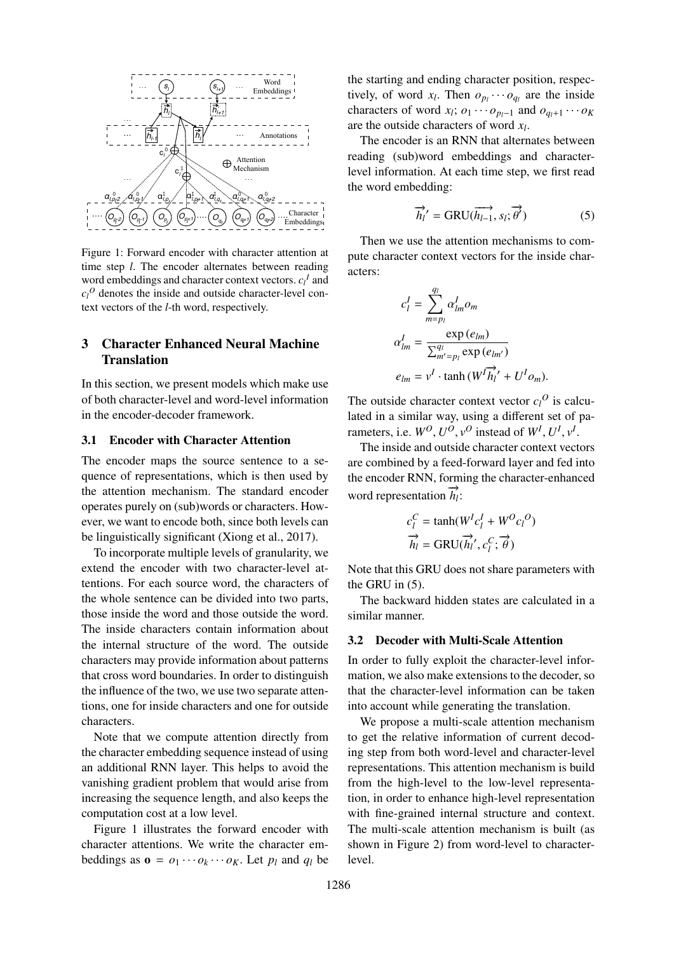

Figure 1: Forward encoder with character attention at time step *l*. The encoder alternates between reading word embeddings and character context vectors.  $c_l^I$  and  $c_l^O$  denotes the inside and outside character-level context vectors of the *l*-th word, respectively.

# 3 Character Enhanced Neural Machine Translation

In this section, we present models which make use of both character-level and word-level information in the encoder-decoder framework.

#### 3.1 Encoder with Character Attention

The encoder maps the source sentence to a sequence of representations, which is then used by the attention mechanism. The standard encoder operates purely on (sub)words or characters. However, we want to encode both, since both levels can be linguistically significant (Xiong et al., 2017).

To incorporate multiple levels of granularity, we extend the encoder with two character-level attentions. For each source word, the characters of the whole sentence can be divided into two parts, those inside the word and those outside the word. The inside characters contain information about the internal structure of the word. The outside characters may provide information about patterns that cross word boundaries. In order to distinguish the influence of the two, we use two separate attentions, one for inside characters and one for outside characters.

Note that we compute attention directly from the character embedding sequence instead of using an additional RNN layer. This helps to avoid the vanishing gradient problem that would arise from increasing the sequence length, and also keeps the computation cost at a low level.

Figure 1 illustrates the forward encoder with character attentions. We write the character embeddings as  $\mathbf{o} = o_1 \cdots o_k \cdots o_K$ . Let  $p_l$  and  $q_l$  be the starting and ending character position, respectively, of word  $x_l$ . Then  $o_{p_l} \cdots o_{q_l}$  are the inside characters of word  $x_l$ ;  $o_1 \cdots o_{p_l-1}$  and  $o_{q_l+1} \cdots o_K$ are the outside characters of word *x<sup>l</sup>* .

The encoder is an RNN that alternates between reading (sub)word embeddings and characterlevel information. At each time step, we first read the word embedding:

$$
\overrightarrow{h_{l}}' = \text{GRU}(\overrightarrow{h_{l-1}}, s_{l}; \overrightarrow{\theta'}) \tag{5}
$$

Then we use the attention mechanisms to compute character context vectors for the inside characters:

$$
c_l^I = \sum_{m=p_l}^{q_l} \alpha_{lm}^I o_m
$$
  
\n
$$
\alpha_{lm}^I = \frac{\exp(e_{lm})}{\sum_{m'=p_l}^{q_l} \exp(e_{lm'})}
$$
  
\n
$$
e_{lm} = v^I \cdot \tanh(W^I \vec{h'_l'} + U^I o_m).
$$

The outside character context vector  $c_l^O$  is calculated in a similar way, using a different set of parameters, i.e.  $W^O, U^O, v^O$  instead of  $W^I, U^I, v^I$ .

The inside and outside character context vectors are combined by a feed-forward layer and fed into the encoder RNN, forming the character-enhanced word representation  $\overrightarrow{h_l}$ :

$$
c_l^C = \tanh(W^I c_l^I + W^O c_l^O)
$$

$$
\overrightarrow{h_l} = \text{GRU}(\overrightarrow{h_l}', c_l^C; \overrightarrow{\theta})
$$

Note that this GRU does not share parameters with the GRU in (5).

The backward hidden states are calculated in a similar manner.

#### 3.2 Decoder with Multi-Scale Attention

In order to fully exploit the character-level information, we also make extensions to the decoder, so that the character-level information can be taken into account while generating the translation.

We propose a multi-scale attention mechanism to get the relative information of current decoding step from both word-level and character-level representations. This attention mechanism is build from the high-level to the low-level representation, in order to enhance high-level representation with fine-grained internal structure and context. The multi-scale attention mechanism is built (as shown in Figure 2) from word-level to characterlevel.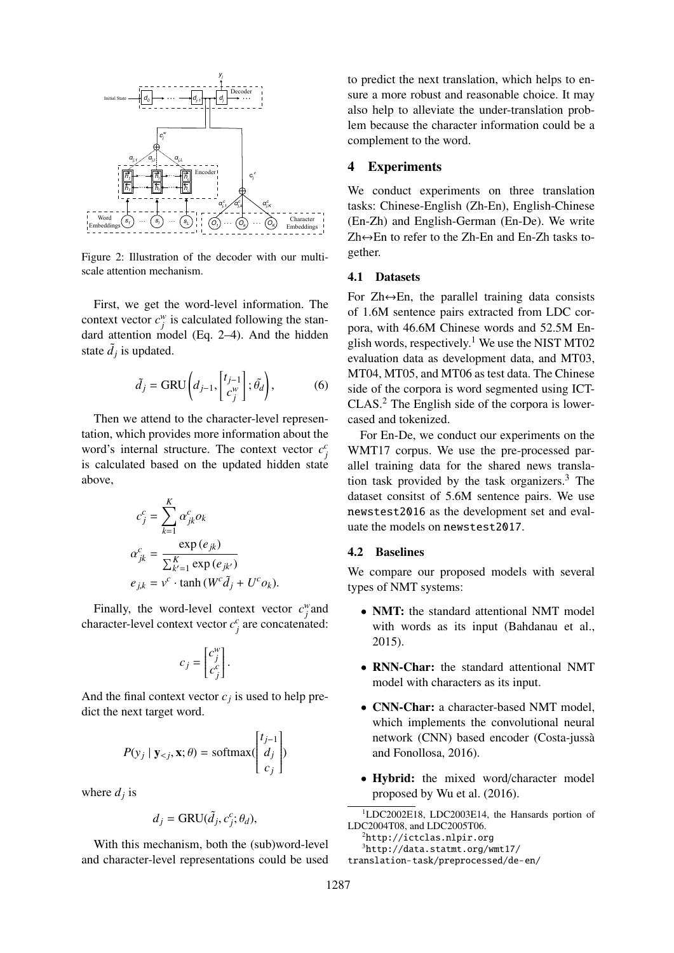

Figure 2: Illustration of the decoder with our multiscale attention mechanism.

First, we get the word-level information. The context vector  $c_j^w$  is calculated following the standard attention model (Eq. 2–4). And the hidden state  $\tilde{d}_j$  is updated.

$$
\tilde{d}_j = \text{GRU}\left(d_{j-1}, \begin{bmatrix} t_{j-1} \\ c_j^w \end{bmatrix}; \tilde{\theta}_d\right),\tag{6}
$$

Then we attend to the character-level representation, which provides more information about the word's internal structure. The context vector  $c_j^c$ is calculated based on the updated hidden state above,

$$
c_j^c = \sum_{k=1}^K \alpha_{jk}^c o_k
$$
  
\n
$$
\alpha_{jk}^c = \frac{\exp(e_{jk})}{\sum_{k'=1}^K \exp(e_{jk'})}
$$
  
\n
$$
e_{jk} = v^c \cdot \tanh(W^c \tilde{d}_j + U^c o_k).
$$

Finally, the word-level context vector  $c_j^w$  and character-level context vector  $c_j^c$  are concatenated:

$$
c_j = \begin{bmatrix} c_j^w \\ c_j^c \end{bmatrix}.
$$

And the final context vector  $c_j$  is used to help predict the next target word.

$$
P(y_j | \mathbf{y}_{< j}, \mathbf{x}; \theta) = \text{softmax}\left(\begin{bmatrix} t_{j-1} \\ d_j \\ c_j \end{bmatrix}\right)
$$

where  $d_j$  is

$$
d_j = \text{GRU}(\tilde{d}_j, c_j^c; \theta_d),
$$

With this mechanism, both the (sub)word-level and character-level representations could be used

to predict the next translation, which helps to ensure a more robust and reasonable choice. It may also help to alleviate the under-translation problem because the character information could be a complement to the word.

# 4 Experiments

We conduct experiments on three translation tasks: Chinese-English (Zh-En), English-Chinese (En-Zh) and English-German (En-De). We write Zh↔En to refer to the Zh-En and En-Zh tasks together.

#### 4.1 Datasets

For  $Zh \leftrightarrow En$ , the parallel training data consists of 1.6M sentence pairs extracted from LDC corpora, with 46.6M Chinese words and 52.5M English words, respectively.<sup>1</sup> We use the NIST MT02 evaluation data as development data, and MT03, MT04, MT05, and MT06 as test data. The Chinese side of the corpora is word segmented using ICT-CLAS.<sup>2</sup> The English side of the corpora is lowercased and tokenized.

For En-De, we conduct our experiments on the WMT17 corpus. We use the pre-processed parallel training data for the shared news translation task provided by the task organizers.<sup>3</sup> The dataset consitst of 5.6M sentence pairs. We use newstest2016 as the development set and evaluate the models on newstest2017.

#### 4.2 Baselines

We compare our proposed models with several types of NMT systems:

- NMT: the standard attentional NMT model with words as its input (Bahdanau et al., 2015).
- RNN-Char: the standard attentional NMT model with characters as its input.
- CNN-Char: a character-based NMT model, which implements the convolutional neural network (CNN) based encoder (Costa-jussa` and Fonollosa, 2016).
- Hybrid: the mixed word/character model proposed by Wu et al. (2016).

<sup>1</sup>LDC2002E18, LDC2003E14, the Hansards portion of LDC2004T08, and LDC2005T06.

 ${}^{2}$ http://ictclas.nlpir.org

<sup>3</sup>http://data.statmt.org/wmt17/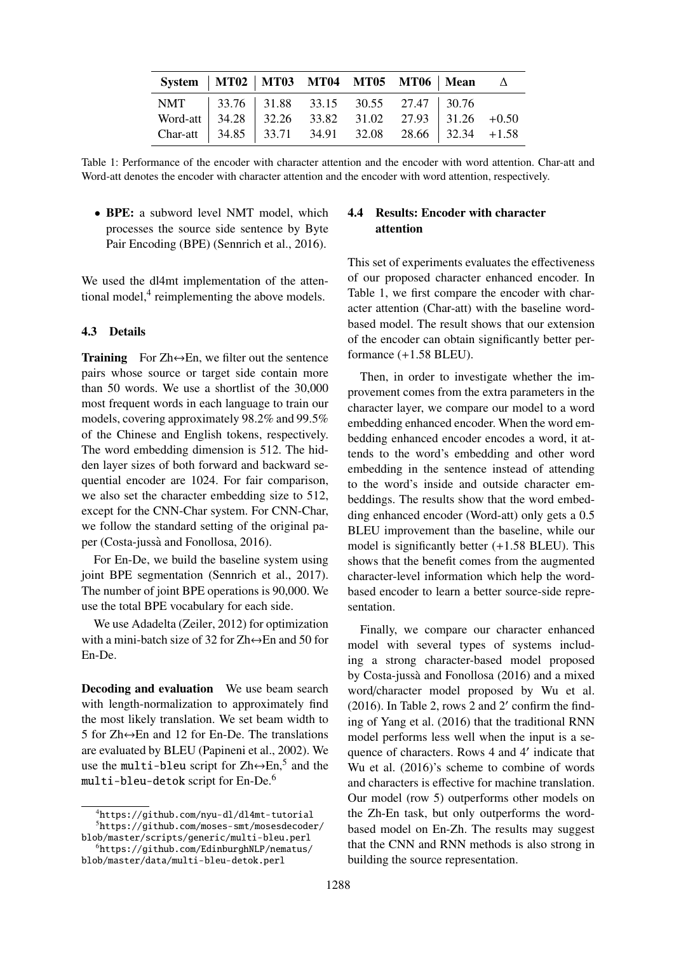| System   MT02   MT03   MT04   MT05   MT06   Mean $\Delta$ |  |  |  |  |
|-----------------------------------------------------------|--|--|--|--|
| NMT   33.76   31.88 33.15 30.55 27.47   30.76             |  |  |  |  |
|                                                           |  |  |  |  |
|                                                           |  |  |  |  |

Table 1: Performance of the encoder with character attention and the encoder with word attention. Char-att and Word-att denotes the encoder with character attention and the encoder with word attention, respectively.

• **BPE:** a subword level NMT model, which processes the source side sentence by Byte Pair Encoding (BPE) (Sennrich et al., 2016).

We used the dl4mt implementation of the attentional model,<sup>4</sup> reimplementing the above models.

#### 4.3 Details

**Training** For Zh $\leftrightarrow$ En, we filter out the sentence pairs whose source or target side contain more than 50 words. We use a shortlist of the 30,000 most frequent words in each language to train our models, covering approximately 98.2% and 99.5% of the Chinese and English tokens, respectively. The word embedding dimension is 512. The hidden layer sizes of both forward and backward sequential encoder are 1024. For fair comparison, we also set the character embedding size to 512, except for the CNN-Char system. For CNN-Char, we follow the standard setting of the original paper (Costa-jussà and Fonollosa, 2016).

For En-De, we build the baseline system using joint BPE segmentation (Sennrich et al., 2017). The number of joint BPE operations is 90,000. We use the total BPE vocabulary for each side.

We use Adadelta (Zeiler, 2012) for optimization with a mini-batch size of 32 for  $Zh \leftrightarrow En$  and 50 for En-De.

Decoding and evaluation We use beam search with length-normalization to approximately find the most likely translation. We set beam width to 5 for  $Zh \leftrightarrow En$  and 12 for En-De. The translations are evaluated by BLEU (Papineni et al., 2002). We use the multi-bleu script for  $Zh \leftrightarrow Em,^5$  and the multi-bleu-detok script for En-De.<sup>6</sup>

# 4.4 Results: Encoder with character attention

This set of experiments evaluates the effectiveness of our proposed character enhanced encoder. In Table 1, we first compare the encoder with character attention (Char-att) with the baseline wordbased model. The result shows that our extension of the encoder can obtain significantly better performance (+1.58 BLEU).

Then, in order to investigate whether the improvement comes from the extra parameters in the character layer, we compare our model to a word embedding enhanced encoder. When the word embedding enhanced encoder encodes a word, it attends to the word's embedding and other word embedding in the sentence instead of attending to the word's inside and outside character embeddings. The results show that the word embedding enhanced encoder (Word-att) only gets a 0.5 BLEU improvement than the baseline, while our model is significantly better (+1.58 BLEU). This shows that the benefit comes from the augmented character-level information which help the wordbased encoder to learn a better source-side representation.

Finally, we compare our character enhanced model with several types of systems including a strong character-based model proposed by Costa-jussà and Fonollosa (2016) and a mixed word/character model proposed by Wu et al.  $(2016)$ . In Table 2, rows 2 and 2' confirm the finding of Yang et al. (2016) that the traditional RNN model performs less well when the input is a sequence of characters. Rows 4 and 4' indicate that Wu et al. (2016)'s scheme to combine of words and characters is effective for machine translation. Our model (row 5) outperforms other models on the Zh-En task, but only outperforms the wordbased model on En-Zh. The results may suggest that the CNN and RNN methods is also strong in building the source representation.

<sup>4</sup>https://github.com/nyu-dl/dl4mt-tutorial <sup>5</sup>https://github.com/moses-smt/mosesdecoder/

blob/master/scripts/generic/multi-bleu.perl <sup>6</sup>https://github.com/EdinburghNLP/nematus/ blob/master/data/multi-bleu-detok.perl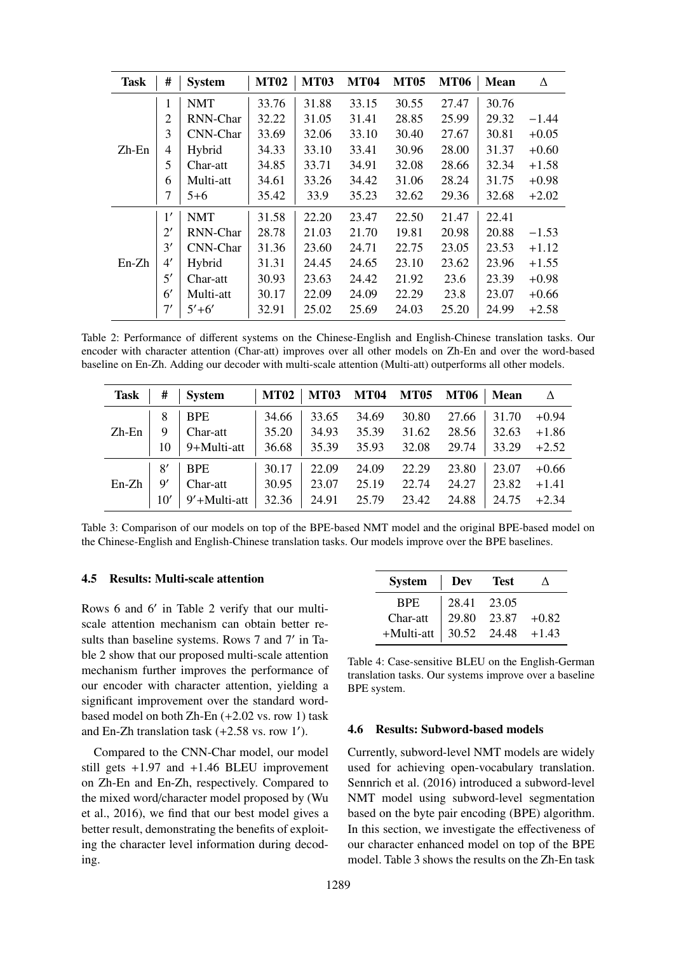| <b>Task</b> | #              | <b>System</b> | <b>MT02</b> | <b>MT03</b> | <b>MT04</b> | <b>MT05</b> | <b>MT06</b> | <b>Mean</b> | Δ       |
|-------------|----------------|---------------|-------------|-------------|-------------|-------------|-------------|-------------|---------|
|             | 1              | <b>NMT</b>    | 33.76       | 31.88       | 33.15       | 30.55       | 27.47       | 30.76       |         |
|             | $\overline{2}$ | RNN-Char      | 32.22       | 31.05       | 31.41       | 28.85       | 25.99       | 29.32       | $-1.44$ |
|             | 3              | CNN-Char      | 33.69       | 32.06       | 33.10       | 30.40       | 27.67       | 30.81       | $+0.05$ |
| Zh-En       | 4              | Hybrid        | 34.33       | 33.10       | 33.41       | 30.96       | 28.00       | 31.37       | $+0.60$ |
|             | 5              | Char-att      | 34.85       | 33.71       | 34.91       | 32.08       | 28.66       | 32.34       | $+1.58$ |
|             | 6              | Multi-att     | 34.61       | 33.26       | 34.42       | 31.06       | 28.24       | 31.75       | $+0.98$ |
|             |                | $5 + 6$       | 35.42       | 33.9        | 35.23       | 32.62       | 29.36       | 32.68       | $+2.02$ |
|             | 1'             | <b>NMT</b>    | 31.58       | 22.20       | 23.47       | 22.50       | 21.47       | 22.41       |         |
|             | $2^{\prime}$   | RNN-Char      | 28.78       | 21.03       | 21.70       | 19.81       | 20.98       | 20.88       | $-1.53$ |
|             | 3'             | CNN-Char      | 31.36       | 23.60       | 24.71       | 22.75       | 23.05       | 23.53       | $+1.12$ |
| $En-Zh$     | 4'             | Hybrid        | 31.31       | 24.45       | 24.65       | 23.10       | 23.62       | 23.96       | $+1.55$ |
|             | 5'             | Char-att      | 30.93       | 23.63       | 24.42       | 21.92       | 23.6        | 23.39       | $+0.98$ |
|             | 6'             | Multi-att     | 30.17       | 22.09       | 24.09       | 22.29       | 23.8        | 23.07       | $+0.66$ |
|             | 7'             | $5' + 6'$     | 32.91       | 25.02       | 25.69       | 24.03       | 25.20       | 24.99       | $+2.58$ |

Table 2: Performance of different systems on the Chinese-English and English-Chinese translation tasks. Our encoder with character attention (Char-att) improves over all other models on Zh-En and over the word-based baseline on En-Zh. Adding our decoder with multi-scale attention (Multi-att) outperforms all other models.

| <b>Task</b> | #             | <b>System</b> | <b>MT02</b> | <b>MT03</b> | <b>MT04</b> | <b>MT05</b> | <b>MT06</b> | <b>Mean</b> | Δ       |
|-------------|---------------|---------------|-------------|-------------|-------------|-------------|-------------|-------------|---------|
|             | 8             | <b>BPE</b>    | 34.66       | 33.65       | 34.69       | 30.80       | 27.66       | 31.70       | $+0.94$ |
| $Zh-En$     | 9             | Char-att      | 35.20       | 34.93       | 35.39       | 31.62       | 28.56       | 32.63       | $+1.86$ |
|             | 10            | 9+Multi-att   | 36.68       | 35.39       | 35.93       | 32.08       | 29.74       | 33.29       | $+2.52$ |
|             | 8'            | <b>BPE</b>    | 30.17       | 22.09       | 24.09       | 22.29       | 23.80       | 23.07       | $+0.66$ |
| $En-Zh$     | $\mathsf{Q}'$ | Char-att      | 30.95       | 23.07       | 25.19       | 22.74       | 24.27       | 23.82       | $+1.41$ |
|             | 10′           | 9'+Multi-att  | 32.36       | 24.91       | 25.79       | 23.42       | 24.88       | 24.75       | $+2.34$ |

Table 3: Comparison of our models on top of the BPE-based NMT model and the original BPE-based model on the Chinese-English and English-Chinese translation tasks. Our models improve over the BPE baselines.

# 4.5 Results: Multi-scale attention

Rows 6 and 6' in Table 2 verify that our multiscale attention mechanism can obtain better results than baseline systems. Rows 7 and 7' in Table 2 show that our proposed multi-scale attention mechanism further improves the performance of our encoder with character attention, yielding a significant improvement over the standard wordbased model on both Zh-En (+2.02 vs. row 1) task and En-Zh translation task  $(+2.58 \text{ vs. row } 1')$ .

Compared to the CNN-Char model, our model still gets +1.97 and +1.46 BLEU improvement on Zh-En and En-Zh, respectively. Compared to the mixed word/character model proposed by (Wu et al., 2016), we find that our best model gives a better result, demonstrating the benefits of exploiting the character level information during decoding.

| <b>System</b>               | Dev         | <b>Test</b> |         |
|-----------------------------|-------------|-------------|---------|
| <b>BPE</b>                  | 28.41 23.05 |             |         |
| Char-att                    | 29.80       | 23.87       | $+0.82$ |
| $+$ Multi-att   30.52 24.48 |             |             | $+1.43$ |

Table 4: Case-sensitive BLEU on the English-German translation tasks. Our systems improve over a baseline BPE system.

#### 4.6 Results: Subword-based models

Currently, subword-level NMT models are widely used for achieving open-vocabulary translation. Sennrich et al. (2016) introduced a subword-level NMT model using subword-level segmentation based on the byte pair encoding (BPE) algorithm. In this section, we investigate the effectiveness of our character enhanced model on top of the BPE model. Table 3 shows the results on the Zh-En task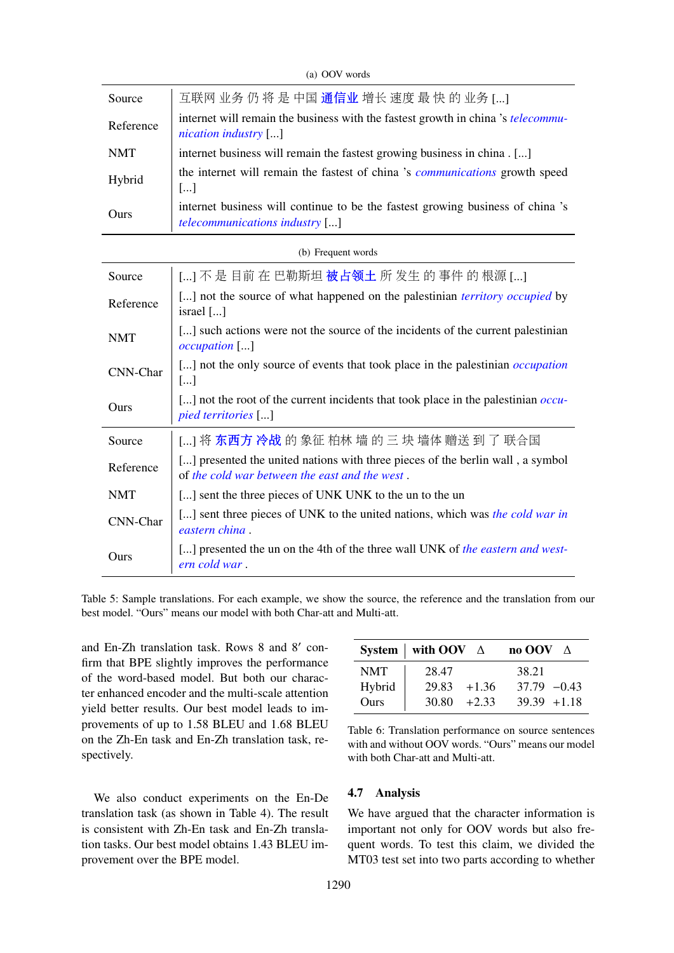| Source     | 互联网 业务 仍 将 是 中国 通信业 增长 速度 最 快 的 业务 []                                                                                            |  |  |  |  |  |
|------------|----------------------------------------------------------------------------------------------------------------------------------|--|--|--|--|--|
| Reference  | internet will remain the business with the fastest growth in china 's telecommu-<br>nication industry $[\dots]$                  |  |  |  |  |  |
| <b>NMT</b> | internet business will remain the fastest growing business in china . []                                                         |  |  |  |  |  |
| Hybrid     | the internet will remain the fastest of china 's communications growth speed<br>$\left[\ldots\right]$                            |  |  |  |  |  |
| Ours       | internet business will continue to be the fastest growing business of china 's<br><i>telecommunications industry</i> []          |  |  |  |  |  |
|            | (b) Frequent words                                                                                                               |  |  |  |  |  |
| Source     | [] 不 是 目前 在 巴勒斯坦 <b>被占领土</b> 所 发生 的 事件 的 根源 []                                                                                   |  |  |  |  |  |
| Reference  | [] not the source of what happened on the palestinian <i>territory occupied</i> by<br>israel []                                  |  |  |  |  |  |
| <b>NMT</b> | [] such actions were not the source of the incidents of the current palestinian<br>$occupation$ []                               |  |  |  |  |  |
| CNN-Char   | [] not the only source of events that took place in the palestinian <i>occupation</i><br>[]                                      |  |  |  |  |  |
| Ours       | [] not the root of the current incidents that took place in the palestinian <i>occu</i> -<br>pied territories []                 |  |  |  |  |  |
| Source     | [] 将 东 <b>西方 冷战</b> 的 象征 柏林 墙 的 三 块 墙体 赠送 到 了 联合国                                                                                |  |  |  |  |  |
| Reference  | [] presented the united nations with three pieces of the berlin wall, a symbol<br>of the cold war between the east and the west. |  |  |  |  |  |
| <b>NMT</b> | [] sent the three pieces of UNK UNK to the un to the un                                                                          |  |  |  |  |  |
| CNN-Char   | [] sent three pieces of UNK to the united nations, which was the cold war in<br>eastern china.                                   |  |  |  |  |  |
| Ours       | [] presented the un on the 4th of the three wall UNK of the eastern and west-<br>ern cold war.                                   |  |  |  |  |  |
|            |                                                                                                                                  |  |  |  |  |  |

(a) OOV words

Table 5: Sample translations. For each example, we show the source, the reference and the translation from our best model. "Ours" means our model with both Char-att and Multi-att.

and En-Zh translation task. Rows  $8$  and  $8'$  confirm that BPE slightly improves the performance of the word-based model. But both our character enhanced encoder and the multi-scale attention yield better results. Our best model leads to improvements of up to 1.58 BLEU and 1.68 BLEU on the Zh-En task and En-Zh translation task, respectively.

We also conduct experiments on the En-De translation task (as shown in Table 4). The result is consistent with Zh-En task and En-Zh translation tasks. Our best model obtains 1.43 BLEU improvement over the BPE model.

|            | System   with OOV $\Delta$ | no OOV $\triangle$ |
|------------|----------------------------|--------------------|
| <b>NMT</b> | 28.47                      | 38.21              |
| Hybrid     | $+1.36$<br>29.83           | $37.79 - 0.43$     |
| Ours       | $30.80 + 2.33$             | $39.39 + 1.18$     |

Table 6: Translation performance on source sentences with and without OOV words. "Ours" means our model with both Char-att and Multi-att.

#### 4.7 Analysis

We have argued that the character information is important not only for OOV words but also frequent words. To test this claim, we divided the MT03 test set into two parts according to whether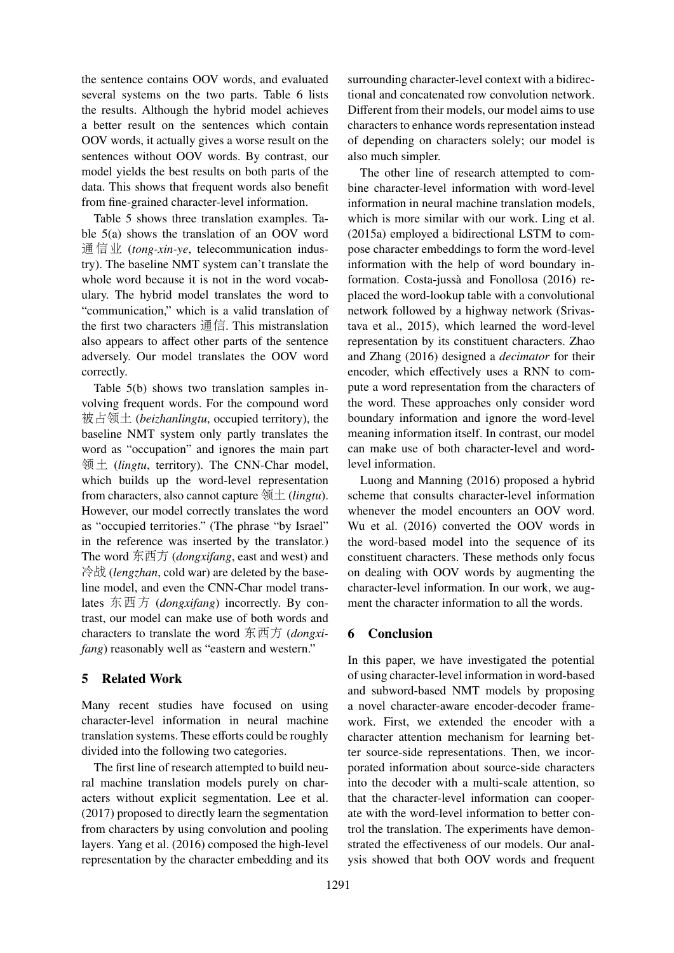the sentence contains OOV words, and evaluated several systems on the two parts. Table 6 lists the results. Although the hybrid model achieves a better result on the sentences which contain OOV words, it actually gives a worse result on the sentences without OOV words. By contrast, our model yields the best results on both parts of the data. This shows that frequent words also benefit from fine-grained character-level information.

Table 5 shows three translation examples. Table 5(a) shows the translation of an OOV word 通信业 (*tong-xin-ye*, telecommunication industry). The baseline NMT system can't translate the whole word because it is not in the word vocabulary. The hybrid model translates the word to "communication," which is a valid translation of the first two characters 通信. This mistranslation also appears to affect other parts of the sentence adversely. Our model translates the OOV word correctly.

Table 5(b) shows two translation samples involving frequent words. For the compound word 被占领土 (*beizhanlingtu*, occupied territory), the baseline NMT system only partly translates the word as "occupation" and ignores the main part 领土 (*lingtu*, territory). The CNN-Char model, which builds up the word-level representation from characters, also cannot capture 领土 (*lingtu*). However, our model correctly translates the word as "occupied territories." (The phrase "by Israel" in the reference was inserted by the translator.) The word 东西方 (*dongxifang*, east and west) and 冷战 (*lengzhan*, cold war) are deleted by the baseline model, and even the CNN-Char model translates 东西方 (*dongxifang*) incorrectly. By contrast, our model can make use of both words and characters to translate the word 东西方 (*dongxifang*) reasonably well as "eastern and western."

# 5 Related Work

Many recent studies have focused on using character-level information in neural machine translation systems. These efforts could be roughly divided into the following two categories.

The first line of research attempted to build neural machine translation models purely on characters without explicit segmentation. Lee et al. (2017) proposed to directly learn the segmentation from characters by using convolution and pooling layers. Yang et al. (2016) composed the high-level representation by the character embedding and its

surrounding character-level context with a bidirectional and concatenated row convolution network. Different from their models, our model aims to use characters to enhance words representation instead of depending on characters solely; our model is also much simpler.

The other line of research attempted to combine character-level information with word-level information in neural machine translation models, which is more similar with our work. Ling et al. (2015a) employed a bidirectional LSTM to compose character embeddings to form the word-level information with the help of word boundary information. Costa-jussà and Fonollosa (2016) replaced the word-lookup table with a convolutional network followed by a highway network (Srivastava et al., 2015), which learned the word-level representation by its constituent characters. Zhao and Zhang (2016) designed a *decimator* for their encoder, which effectively uses a RNN to compute a word representation from the characters of the word. These approaches only consider word boundary information and ignore the word-level meaning information itself. In contrast, our model can make use of both character-level and wordlevel information.

Luong and Manning (2016) proposed a hybrid scheme that consults character-level information whenever the model encounters an OOV word. Wu et al. (2016) converted the OOV words in the word-based model into the sequence of its constituent characters. These methods only focus on dealing with OOV words by augmenting the character-level information. In our work, we augment the character information to all the words.

# 6 Conclusion

In this paper, we have investigated the potential of using character-level information in word-based and subword-based NMT models by proposing a novel character-aware encoder-decoder framework. First, we extended the encoder with a character attention mechanism for learning better source-side representations. Then, we incorporated information about source-side characters into the decoder with a multi-scale attention, so that the character-level information can cooperate with the word-level information to better control the translation. The experiments have demonstrated the effectiveness of our models. Our analysis showed that both OOV words and frequent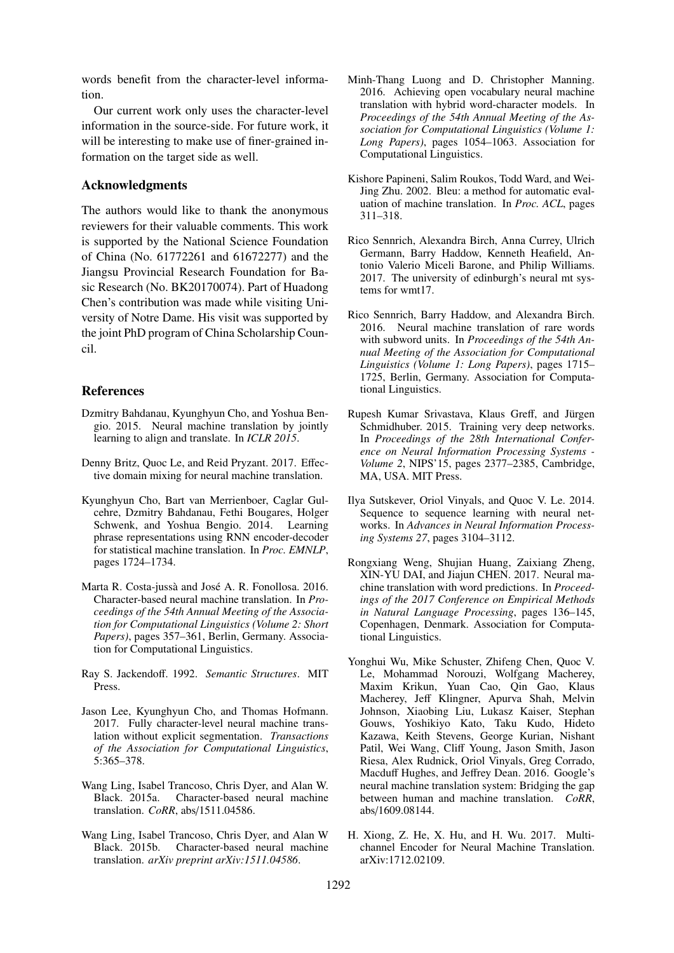words benefit from the character-level information.

Our current work only uses the character-level information in the source-side. For future work, it will be interesting to make use of finer-grained information on the target side as well.

#### Acknowledgments

The authors would like to thank the anonymous reviewers for their valuable comments. This work is supported by the National Science Foundation of China (No. 61772261 and 61672277) and the Jiangsu Provincial Research Foundation for Basic Research (No. BK20170074). Part of Huadong Chen's contribution was made while visiting University of Notre Dame. His visit was supported by the joint PhD program of China Scholarship Council.

# References

- Dzmitry Bahdanau, Kyunghyun Cho, and Yoshua Bengio. 2015. Neural machine translation by jointly learning to align and translate. In *ICLR 2015*.
- Denny Britz, Quoc Le, and Reid Pryzant. 2017. Effective domain mixing for neural machine translation.
- Kyunghyun Cho, Bart van Merrienboer, Caglar Gulcehre, Dzmitry Bahdanau, Fethi Bougares, Holger Schwenk, and Yoshua Bengio. 2014. Learning phrase representations using RNN encoder-decoder for statistical machine translation. In *Proc. EMNLP*, pages 1724–1734.
- Marta R. Costa-jussà and José A. R. Fonollosa. 2016. Character-based neural machine translation. In *Proceedings of the 54th Annual Meeting of the Association for Computational Linguistics (Volume 2: Short Papers)*, pages 357–361, Berlin, Germany. Association for Computational Linguistics.
- Ray S. Jackendoff. 1992. *Semantic Structures*. MIT Press.
- Jason Lee, Kyunghyun Cho, and Thomas Hofmann. 2017. Fully character-level neural machine translation without explicit segmentation. *Transactions of the Association for Computational Linguistics*, 5:365–378.
- Wang Ling, Isabel Trancoso, Chris Dyer, and Alan W. Black. 2015a. Character-based neural machine translation. *CoRR*, abs/1511.04586.
- Wang Ling, Isabel Trancoso, Chris Dyer, and Alan W Black. 2015b. Character-based neural machine translation. *arXiv preprint arXiv:1511.04586*.
- Minh-Thang Luong and D. Christopher Manning. 2016. Achieving open vocabulary neural machine translation with hybrid word-character models. In *Proceedings of the 54th Annual Meeting of the Association for Computational Linguistics (Volume 1: Long Papers)*, pages 1054–1063. Association for Computational Linguistics.
- Kishore Papineni, Salim Roukos, Todd Ward, and Wei-Jing Zhu. 2002. Bleu: a method for automatic evaluation of machine translation. In *Proc. ACL*, pages 311–318.
- Rico Sennrich, Alexandra Birch, Anna Currey, Ulrich Germann, Barry Haddow, Kenneth Heafield, Antonio Valerio Miceli Barone, and Philip Williams. 2017. The university of edinburgh's neural mt systems for wmt17.
- Rico Sennrich, Barry Haddow, and Alexandra Birch. 2016. Neural machine translation of rare words with subword units. In *Proceedings of the 54th Annual Meeting of the Association for Computational Linguistics (Volume 1: Long Papers)*, pages 1715– 1725, Berlin, Germany. Association for Computational Linguistics.
- Rupesh Kumar Srivastava, Klaus Greff, and Jürgen Schmidhuber. 2015. Training very deep networks. In *Proceedings of the 28th International Conference on Neural Information Processing Systems - Volume 2*, NIPS'15, pages 2377–2385, Cambridge, MA, USA. MIT Press.
- Ilya Sutskever, Oriol Vinyals, and Quoc V. Le. 2014. Sequence to sequence learning with neural networks. In *Advances in Neural Information Processing Systems 27*, pages 3104–3112.
- Rongxiang Weng, Shujian Huang, Zaixiang Zheng, XIN-YU DAI, and Jiajun CHEN. 2017. Neural machine translation with word predictions. In *Proceedings of the 2017 Conference on Empirical Methods in Natural Language Processing*, pages 136–145, Copenhagen, Denmark. Association for Computational Linguistics.
- Yonghui Wu, Mike Schuster, Zhifeng Chen, Quoc V. Le, Mohammad Norouzi, Wolfgang Macherey, Maxim Krikun, Yuan Cao, Qin Gao, Klaus Macherey, Jeff Klingner, Apurva Shah, Melvin Johnson, Xiaobing Liu, Lukasz Kaiser, Stephan Gouws, Yoshikiyo Kato, Taku Kudo, Hideto Kazawa, Keith Stevens, George Kurian, Nishant Patil, Wei Wang, Cliff Young, Jason Smith, Jason Riesa, Alex Rudnick, Oriol Vinyals, Greg Corrado, Macduff Hughes, and Jeffrey Dean. 2016. Google's neural machine translation system: Bridging the gap between human and machine translation. *CoRR*, abs/1609.08144.
- H. Xiong, Z. He, X. Hu, and H. Wu. 2017. Multichannel Encoder for Neural Machine Translation. arXiv:1712.02109.